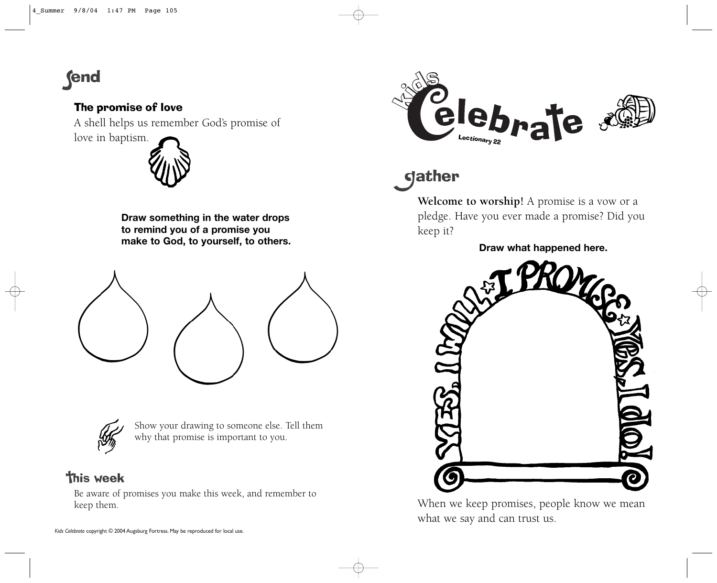# **fend**

### The promise of love

A shell helps us remember God's promise of

love in baptism.



**Draw something in the water drops to remind you of a promise you make to God, to yourself, to others.**





Show your drawing to someone else. Tell them why that promise is important to you.

## **This week**

Be aware of promises you make this week, and remember to keep them.



# dather

**Welcome to worship!** A promise is a vow or a pledge. Have you ever made a promise? Did you keep it?

**Draw what happened here.**



When we keep promises, people know we mean what we say and can trust us.